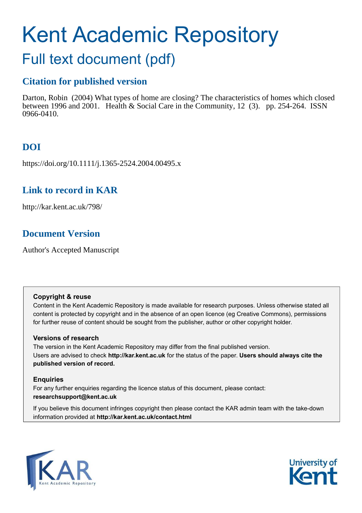# Kent Academic Repository

## Full text document (pdf)

## **Citation for published version**

Darton, Robin (2004) What types of home are closing? The characteristics of homes which closed between 1996 and 2001. Health & Social Care in the Community, 12 (3). pp. 254-264. ISSN 0966-0410.

## **DOI**

https://doi.org/10.1111/j.1365-2524.2004.00495.x

## **Link to record in KAR**

http://kar.kent.ac.uk/798/

## **Document Version**

Author's Accepted Manuscript

#### **Copyright & reuse**

Content in the Kent Academic Repository is made available for research purposes. Unless otherwise stated all content is protected by copyright and in the absence of an open licence (eg Creative Commons), permissions for further reuse of content should be sought from the publisher, author or other copyright holder.

#### **Versions of research**

The version in the Kent Academic Repository may differ from the final published version. Users are advised to check **http://kar.kent.ac.uk** for the status of the paper. **Users should always cite the published version of record.**

#### **Enquiries**

For any further enquiries regarding the licence status of this document, please contact: **researchsupport@kent.ac.uk**

If you believe this document infringes copyright then please contact the KAR admin team with the take-down information provided at **http://kar.kent.ac.uk/contact.html**



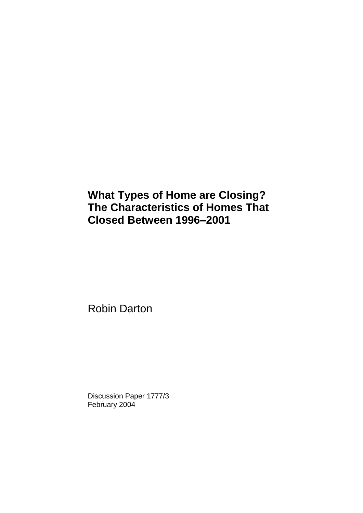## **What Types of Home are Closing? The Characteristics of Homes That Closed Between 1996–2001**

Robin Darton

Discussion Paper 1777/3 February 2004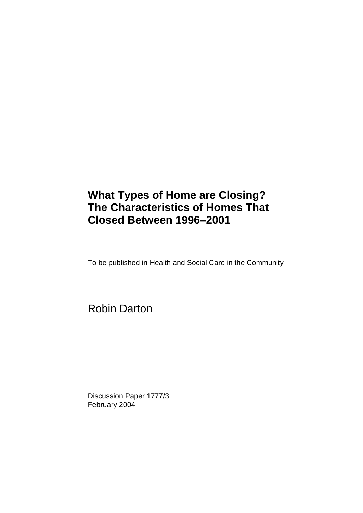## **What Types of Home are Closing? The Characteristics of Homes That Closed Between 1996–2001**

To be published in Health and Social Care in the Community

Robin Darton

Discussion Paper 1777/3 February 2004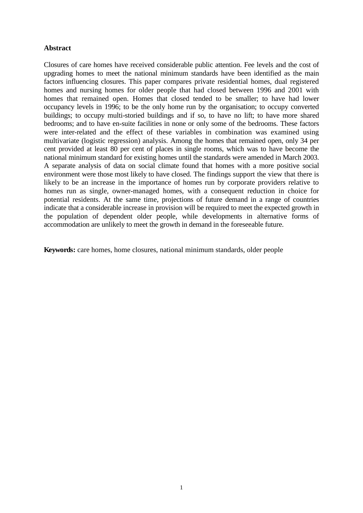#### **Abstract**

Closures of care homes have received considerable public attention. Fee levels and the cost of upgrading homes to meet the national minimum standards have been identified as the main factors influencing closures. This paper compares private residential homes, dual registered homes and nursing homes for older people that had closed between 1996 and 2001 with homes that remained open. Homes that closed tended to be smaller; to have had lower occupancy levels in 1996; to be the only home run by the organisation; to occupy converted buildings; to occupy multi-storied buildings and if so, to have no lift; to have more shared bedrooms; and to have en-suite facilities in none or only some of the bedrooms. These factors were inter-related and the effect of these variables in combination was examined using multivariate (logistic regression) analysis. Among the homes that remained open, only 34 per cent provided at least 80 per cent of places in single rooms, which was to have become the national minimum standard for existing homes until the standards were amended in March 2003. A separate analysis of data on social climate found that homes with a more positive social environment were those most likely to have closed. The findings support the view that there is likely to be an increase in the importance of homes run by corporate providers relative to homes run as single, owner-managed homes, with a consequent reduction in choice for potential residents. At the same time, projections of future demand in a range of countries indicate that a considerable increase in provision will be required to meet the expected growth in the population of dependent older people, while developments in alternative forms of accommodation are unlikely to meet the growth in demand in the foreseeable future.

**Keywords:** care homes, home closures, national minimum standards, older people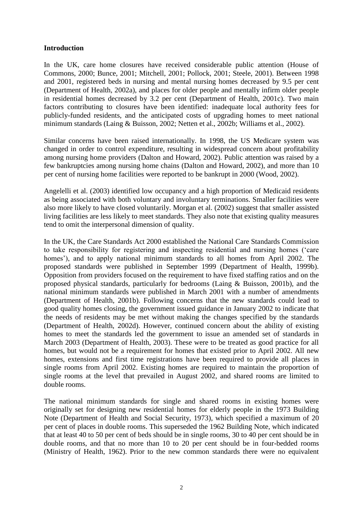#### **Introduction**

In the UK, care home closures have received considerable public attention (House of Commons, 2000; Bunce, 2001; Mitchell, 2001; Pollock, 2001; Steele, 2001). Between 1998 and 2001, registered beds in nursing and mental nursing homes decreased by 9.5 per cent (Department of Health, 2002a), and places for older people and mentally infirm older people in residential homes decreased by 3.2 per cent (Department of Health, 2001c). Two main factors contributing to closures have been identified: inadequate local authority fees for publicly-funded residents, and the anticipated costs of upgrading homes to meet national minimum standards (Laing & Buisson, 2002; Netten et al., 2002b; Williams et al., 2002).

Similar concerns have been raised internationally. In 1998, the US Medicare system was changed in order to control expenditure, resulting in widespread concern about profitability among nursing home providers (Dalton and Howard, 2002). Public attention was raised by a few bankruptcies among nursing home chains (Dalton and Howard, 2002), and more than 10 per cent of nursing home facilities were reported to be bankrupt in 2000 (Wood, 2002).

Angelelli et al. (2003) identified low occupancy and a high proportion of Medicaid residents as being associated with both voluntary and involuntary terminations. Smaller facilities were also more likely to have closed voluntarily. Morgan et al. (2002) suggest that smaller assisted living facilities are less likely to meet standards. They also note that existing quality measures tend to omit the interpersonal dimension of quality.

In the UK, the Care Standards Act 2000 established the National Care Standards Commission to take responsibility for registering and inspecting residential and nursing homes ('care homes'), and to apply national minimum standards to all homes from April 2002. The proposed standards were published in September 1999 (Department of Health, 1999b). Opposition from providers focused on the requirement to have fixed staffing ratios and on the proposed physical standards, particularly for bedrooms (Laing & Buisson, 2001b), and the national minimum standards were published in March 2001 with a number of amendments (Department of Health, 2001b). Following concerns that the new standards could lead to good quality homes closing, the government issued guidance in January 2002 to indicate that the needs of residents may be met without making the changes specified by the standards (Department of Health, 2002d). However, continued concern about the ability of existing homes to meet the standards led the government to issue an amended set of standards in March 2003 (Department of Health, 2003). These were to be treated as good practice for all homes, but would not be a requirement for homes that existed prior to April 2002. All new homes, extensions and first time registrations have been required to provide all places in single rooms from April 2002. Existing homes are required to maintain the proportion of single rooms at the level that prevailed in August 2002, and shared rooms are limited to double rooms.

The national minimum standards for single and shared rooms in existing homes were originally set for designing new residential homes for elderly people in the 1973 Building Note (Department of Health and Social Security, 1973), which specified a maximum of 20 per cent of places in double rooms. This superseded the 1962 Building Note, which indicated that at least 40 to 50 per cent of beds should be in single rooms, 30 to 40 per cent should be in double rooms, and that no more than 10 to 20 per cent should be in four-bedded rooms (Ministry of Health, 1962). Prior to the new common standards there were no equivalent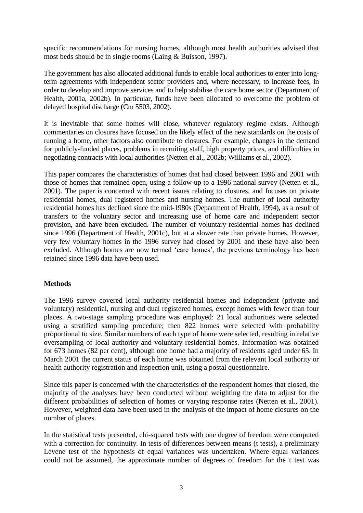specific recommendations for nursing homes, although most health authorities advised that most beds should be in single rooms (Laing & Buisson, 1997).

The government has also allocated additional funds to enable local authorities to enter into longterm agreements with independent sector providers and, where necessary, to increase fees, in order to develop and improve services and to help stabilise the care home sector (Department of Health, 2001a, 2002b). In particular, funds have been allocated to overcome the problem of delayed hospital discharge (Cm 5503, 2002).

It is inevitable that some homes will close, whatever regulatory regime exists. Although commentaries on closures have focused on the likely effect of the new standards on the costs of running a home, other factors also contribute to closures. For example, changes in the demand for publicly-funded places, problems in recruiting staff, high property prices, and difficulties in negotiating contracts with local authorities (Netten et al., 2002b; Williams et al., 2002).

This paper compares the characteristics of homes that had closed between 1996 and 2001 with those of homes that remained open, using a follow-up to a 1996 national survey (Netten et al., 2001). The paper is concerned with recent issues relating to closures, and focuses on private residential homes, dual registered homes and nursing homes. The number of local authority residential homes has declined since the mid-1980s (Department of Health, 1994), as a result of transfers to the voluntary sector and increasing use of home care and independent sector provision, and have been excluded. The number of voluntary residential homes has declined since 1996 (Department of Health, 2001c), but at a slower rate than private homes. However, very few voluntary homes in the 1996 survey had closed by 2001 and these have also been excluded. Although homes are now termed 'care homes', the previous terminology has been retained since 1996 data have been used.

#### **Methods**

The 1996 survey covered local authority residential homes and independent (private and voluntary) residential, nursing and dual registered homes, except homes with fewer than four places. A two-stage sampling procedure was employed: 21 local authorities were selected using a stratified sampling procedure; then 822 homes were selected with probability proportional to size. Similar numbers of each type of home were selected, resulting in relative oversampling of local authority and voluntary residential homes. Information was obtained for 673 homes (82 per cent), although one home had a majority of residents aged under 65. In March 2001 the current status of each home was obtained from the relevant local authority or health authority registration and inspection unit, using a postal questionnaire.

Since this paper is concerned with the characteristics of the respondent homes that closed, the majority of the analyses have been conducted without weighting the data to adjust for the different probabilities of selection of homes or varying response rates (Netten et al., 2001). However, weighted data have been used in the analysis of the impact of home closures on the number of places.

In the statistical tests presented, chi-squared tests with one degree of freedom were computed with a correction for continuity. In tests of differences between means (t tests), a preliminary Levene test of the hypothesis of equal variances was undertaken. Where equal variances could not be assumed, the approximate number of degrees of freedom for the t test was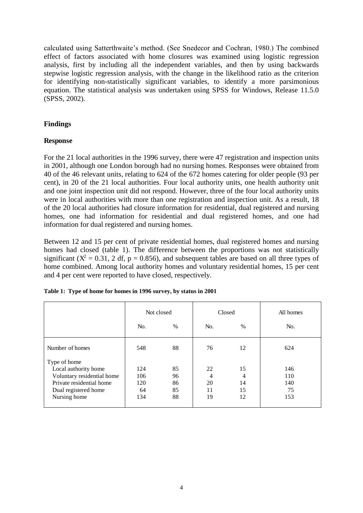calculated using Satterthwaite's method. (See Snedecor and Cochran, 1980.) The combined effect of factors associated with home closures was examined using logistic regression analysis, first by including all the independent variables, and then by using backwards stepwise logistic regression analysis, with the change in the likelihood ratio as the criterion for identifying non-statistically significant variables, to identify a more parsimonious equation. The statistical analysis was undertaken using SPSS for Windows, Release 11.5.0 (SPSS, 2002).

#### **Findings**

#### **Response**

For the 21 local authorities in the 1996 survey, there were 47 registration and inspection units in 2001, although one London borough had no nursing homes. Responses were obtained from 40 of the 46 relevant units, relating to 624 of the 672 homes catering for older people (93 per cent), in 20 of the 21 local authorities. Four local authority units, one health authority unit and one joint inspection unit did not respond. However, three of the four local authority units were in local authorities with more than one registration and inspection unit. As a result, 18 of the 20 local authorities had closure information for residential, dual registered and nursing homes, one had information for residential and dual registered homes, and one had information for dual registered and nursing homes.

Between 12 and 15 per cent of private residential homes, dual registered homes and nursing homes had closed (table 1). The difference between the proportions was not statistically significant ( $X^2 = 0.31$ , 2 df, p = 0.856), and subsequent tables are based on all three types of home combined. Among local authority homes and voluntary residential homes, 15 per cent and 4 per cent were reported to have closed, respectively.

|                            | Not closed<br>$\%$<br>No. |    |     | Closed | All homes |  |
|----------------------------|---------------------------|----|-----|--------|-----------|--|
|                            |                           |    | No. | $\%$   | No.       |  |
| Number of homes            | 548                       | 88 | 76  | 12     | 624       |  |
| Type of home               |                           |    |     |        |           |  |
| Local authority home       | 124                       | 85 | 22  | 15     | 146       |  |
| Voluntary residential home | 106                       | 96 | 4   | 4      | 110       |  |
| Private residential home   | 120                       | 86 | 20  | 14     | 140       |  |
| Dual registered home       | 64                        | 85 | 11  | 15     | 75        |  |
| Nursing home               | 134                       | 88 | 19  | 12     | 153       |  |

**Table 1: Type of home for homes in 1996 survey, by status in 2001**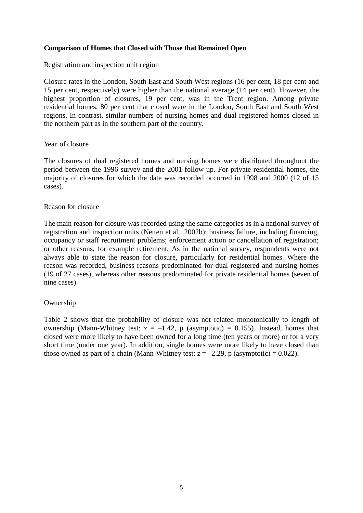#### **Comparison of Homes that Closed with Those that Remained Open**

Registration and inspection unit region

Closure rates in the London, South East and South West regions (16 per cent, 18 per cent and 15 per cent, respectively) were higher than the national average (14 per cent). However, the highest proportion of closures, 19 per cent, was in the Trent region. Among private residential homes, 80 per cent that closed were in the London, South East and South West regions. In contrast, similar numbers of nursing homes and dual registered homes closed in the northern part as in the southern part of the country.

#### Year of closure

The closures of dual registered homes and nursing homes were distributed throughout the period between the 1996 survey and the 2001 follow-up. For private residential homes, the majority of closures for which the date was recorded occurred in 1998 and 2000 (12 of 15 cases).

#### Reason for closure

The main reason for closure was recorded using the same categories as in a national survey of registration and inspection units (Netten et al., 2002b): business failure, including financing, occupancy or staff recruitment problems; enforcement action or cancellation of registration; or other reasons, for example retirement. As in the national survey, respondents were not always able to state the reason for closure, particularly for residential homes. Where the reason was recorded, business reasons predominated for dual registered and nursing homes (19 of 27 cases), whereas other reasons predominated for private residential homes (seven of nine cases).

#### Ownership

Table 2 shows that the probability of closure was not related monotonically to length of ownership (Mann-Whitney test:  $z = -1.42$ , p (asymptotic) = 0.155). Instead, homes that closed were more likely to have been owned for a long time (ten years or more) or for a very short time (under one year). In addition, single homes were more likely to have closed than those owned as part of a chain (Mann-Whitney test:  $z = -2.29$ , p (asymptotic) = 0.022).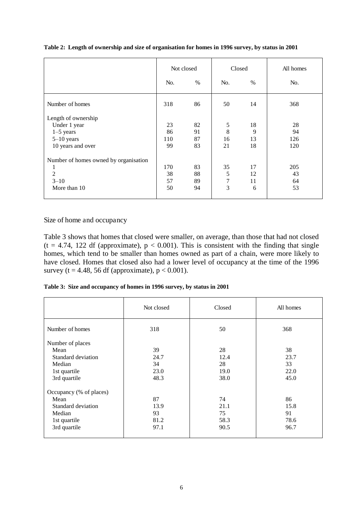|                                       | Not closed |               | Closed |      | All homes |  |
|---------------------------------------|------------|---------------|--------|------|-----------|--|
|                                       | No.        | $\frac{0}{0}$ | No.    | $\%$ | No.       |  |
| Number of homes                       | 318        | 86            | 50     | 14   | 368       |  |
| Length of ownership                   |            |               |        |      |           |  |
| Under 1 year                          | 23         | 82            | 5      | 18   | 28        |  |
| $1-5$ years                           | 86         | 91            | 8      | 9    | 94        |  |
| $5-10$ years                          | 110        | 87            | 16     | 13   | 126       |  |
| 10 years and over                     | 99         | 83            | 21     | 18   | 120       |  |
| Number of homes owned by organisation |            |               |        |      |           |  |
| 1                                     | 170        | 83            | 35     | 17   | 205       |  |
| $\overline{2}$                        | 38         | 88            | 5      | 12   | 43        |  |
| $3 - 10$                              | 57         | 89            | 7      | 11   | 64        |  |
| More than 10                          | 50         | 94            | 3      | 6    | 53        |  |

|  |  |  | Table 2: Length of ownership and size of organisation for homes in 1996 survey, by status in 2001 |
|--|--|--|---------------------------------------------------------------------------------------------------|
|  |  |  |                                                                                                   |
|  |  |  |                                                                                                   |
|  |  |  |                                                                                                   |

Size of home and occupancy

Table 3 shows that homes that closed were smaller, on average, than those that had not closed  $(t = 4.74, 122$  df (approximate),  $p < 0.001$ ). This is consistent with the finding that single homes, which tend to be smaller than homes owned as part of a chain, were more likely to have closed. Homes that closed also had a lower level of occupancy at the time of the 1996 survey ( $t = 4.48$ , 56 df (approximate),  $p < 0.001$ ).

|  |  |  |  |  | Table 3: Size and occupancy of homes in 1996 survey, by status in 2001 |
|--|--|--|--|--|------------------------------------------------------------------------|
|--|--|--|--|--|------------------------------------------------------------------------|

|                         | Not closed<br>Closed |      | All homes |  |
|-------------------------|----------------------|------|-----------|--|
| Number of homes         | 318                  | 50   | 368       |  |
| Number of places        |                      |      |           |  |
| Mean                    | 39                   | 28   | 38        |  |
| Standard deviation      | 24.7                 | 12.4 | 23.7      |  |
| Median                  | 34                   | 28   | 33        |  |
| 1st quartile            | 23.0                 | 19.0 | 22.0      |  |
| 3rd quartile            | 48.3                 | 38.0 | 45.0      |  |
| Occupancy (% of places) |                      |      |           |  |
| Mean                    | 87                   | 74   | 86        |  |
| Standard deviation      | 13.9                 | 21.1 | 15.8      |  |
| Median                  | 93                   | 75   | 91        |  |
| 1st quartile            | 81.2                 | 58.3 | 78.6      |  |
| 3rd quartile            | 97.1                 | 90.5 | 96.7      |  |
|                         |                      |      |           |  |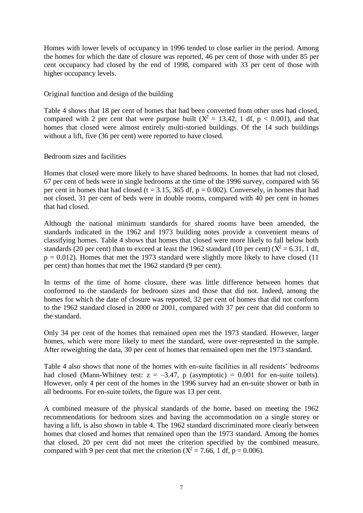Homes with lower levels of occupancy in 1996 tended to close earlier in the period. Among the homes for which the date of closure was reported, 46 per cent of those with under 85 per cent occupancy had closed by the end of 1998, compared with 33 per cent of those with higher occupancy levels.

Original function and design of the building

Table 4 shows that 18 per cent of homes that had been converted from other uses had closed, compared with 2 per cent that were purpose built  $(X^2 = 13.42, 1$  df,  $p < 0.001$ ), and that homes that closed were almost entirely multi-storied buildings. Of the 14 such buildings without a lift, five (36 per cent) were reported to have closed.

Bedroom sizes and facilities

Homes that closed were more likely to have shared bedrooms. In homes that had not closed, 67 per cent of beds were in single bedrooms at the time of the 1996 survey, compared with 56 per cent in homes that had closed ( $t = 3.15$ , 365 df,  $p = 0.002$ ). Conversely, in homes that had not closed, 31 per cent of beds were in double rooms, compared with 40 per cent in homes that had closed.

Although the national minimum standards for shared rooms have been amended, the standards indicated in the 1962 and 1973 building notes provide a convenient means of classifying homes. Table 4 shows that homes that closed were more likely to fall below both standards (20 per cent) than to exceed at least the 1962 standard (10 per cent) ( $X^2 = 6.31$ , 1 df,  $p = 0.012$ ). Homes that met the 1973 standard were slightly more likely to have closed (11) per cent) than homes that met the 1962 standard (9 per cent).

In terms of the time of home closure, there was little difference between homes that conformed to the standards for bedroom sizes and those that did not. Indeed, among the homes for which the date of closure was reported, 32 per cent of homes that did not conform to the 1962 standard closed in 2000 or 2001, compared with 37 per cent that did conform to the standard.

Only 34 per cent of the homes that remained open met the 1973 standard. However, larger homes, which were more likely to meet the standard, were over-represented in the sample. After reweighting the data, 30 per cent of homes that remained open met the 1973 standard.

Table 4 also shows that none of the homes with en-suite facilities in all residents' bedrooms had closed (Mann-Whitney test:  $z = -3.47$ , p (asymptotic) = 0.001 for en-suite toilets). However, only 4 per cent of the homes in the 1996 survey had an en-suite shower or bath in all bedrooms. For en-suite toilets, the figure was 13 per cent.

A combined measure of the physical standards of the home, based on meeting the 1962 recommendations for bedroom sizes and having the accommodation on a single storey or having a lift, is also shown in table 4. The 1962 standard discriminated more clearly between homes that closed and homes that remained open than the 1973 standard. Among the homes that closed, 20 per cent did not meet the criterion specified by the combined measure, compared with 9 per cent that met the criterion ( $X^2 = 7.66$ , 1 df, p = 0.006).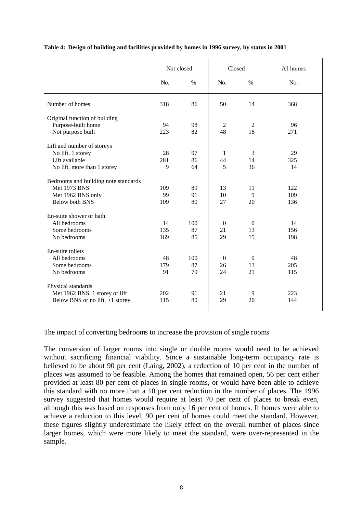|                                      | Not closed |               | Closed         |               | All homes |  |
|--------------------------------------|------------|---------------|----------------|---------------|-----------|--|
|                                      | No.        | $\frac{0}{0}$ | No.            | $\frac{0}{0}$ | No.       |  |
| Number of homes                      | 318        | 86            | 50             | 14            | 368       |  |
| Original function of building        |            |               |                |               |           |  |
| Purpose-built home                   | 94         | 98            | $\overline{c}$ | 2             | 96        |  |
| Not purpose built                    | 223        | 82            | 48             | 18            | 271       |  |
| Lift and number of storeys           |            |               |                |               |           |  |
| No lift, 1 storey                    | 28         | 97            | 1              | 3             | 29        |  |
| Lift available                       | 281        | 86            | 44             | 14            | 325       |  |
| No lift, more than 1 storey          | 9          | 64            | 5              | 36            | 14        |  |
| Bedrooms and building note standards |            |               |                |               |           |  |
| <b>Met 1973 BNS</b>                  | 109        | 89            | 13             | 11            | 122       |  |
| Met 1962 BNS only                    | 99         | 91            | 10             | 9             | 109       |  |
| <b>Below both BNS</b>                | 109        | 80            | 27             | 20            | 136       |  |
| En-suite shower or bath              |            |               |                |               |           |  |
| All bedrooms                         | 14         | 100           | $\mathbf{0}$   | $\mathbf{0}$  | 14        |  |
| Some bedrooms                        | 135        | 87            | 21             | 13            | 156       |  |
| No bedrooms                          | 169        | 85            | 29             | 15            | 198       |  |
| En-suite toilets                     |            |               |                |               |           |  |
| All bedrooms                         | 48         | 100           | $\mathbf{0}$   | $\theta$      | 48        |  |
| Some bedrooms                        | 179        | 87            | 26             | 13            | 205       |  |
| No bedrooms                          | 91         | 79            | 24             | 21            | 115       |  |
| Physical standards                   |            |               |                |               |           |  |
| Met 1962 BNS, 1 storey or lift       | 202        | 91            | 21             | 9             | 223       |  |
| Below BNS or no lift, $>1$ storey    | 115        | 80            | 29             | 20            | 144       |  |

#### **Table 4: Design of building and facilities provided by homes in 1996 survey, by status in 2001**

The impact of converting bedrooms to increase the provision of single rooms

The conversion of larger rooms into single or double rooms would need to be achieved without sacrificing financial viability. Since a sustainable long-term occupancy rate is believed to be about 90 per cent (Laing, 2002), a reduction of 10 per cent in the number of places was assumed to be feasible. Among the homes that remained open, 56 per cent either provided at least 80 per cent of places in single rooms, or would have been able to achieve this standard with no more than a 10 per cent reduction in the number of places. The 1996 survey suggested that homes would require at least 70 per cent of places to break even, although this was based on responses from only 16 per cent of homes. If homes were able to achieve a reduction to this level, 90 per cent of homes could meet the standard. However, these figures slightly underestimate the likely effect on the overall number of places since larger homes, which were more likely to meet the standard, were over-represented in the sample.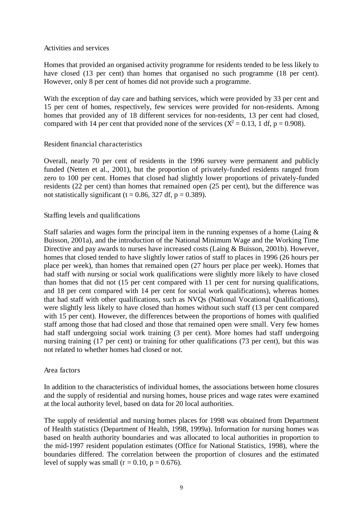#### Activities and services

Homes that provided an organised activity programme for residents tended to be less likely to have closed (13 per cent) than homes that organised no such programme (18 per cent). However, only 8 per cent of homes did not provide such a programme.

With the exception of day care and bathing services, which were provided by 33 per cent and 15 per cent of homes, respectively, few services were provided for non-residents. Among homes that provided any of 18 different services for non-residents, 13 per cent had closed, compared with 14 per cent that provided none of the services ( $X^2 = 0.13$ , 1 df, p = 0.908).

#### Resident financial characteristics

Overall, nearly 70 per cent of residents in the 1996 survey were permanent and publicly funded (Netten et al., 2001), but the proportion of privately-funded residents ranged from zero to 100 per cent. Homes that closed had slightly lower proportions of privately-funded residents (22 per cent) than homes that remained open (25 per cent), but the difference was not statistically significant (t =  $0.86$ , 327 df, p =  $0.389$ ).

#### Staffing levels and qualifications

Staff salaries and wages form the principal item in the running expenses of a home (Laing  $\&$ Buisson, 2001a), and the introduction of the National Minimum Wage and the Working Time Directive and pay awards to nurses have increased costs (Laing & Buisson, 2001b). However, homes that closed tended to have slightly lower ratios of staff to places in 1996 (26 hours per place per week), than homes that remained open (27 hours per place per week). Homes that had staff with nursing or social work qualifications were slightly more likely to have closed than homes that did not (15 per cent compared with 11 per cent for nursing qualifications, and 18 per cent compared with 14 per cent for social work qualifications), whereas homes that had staff with other qualifications, such as NVQs (National Vocational Qualifications), were slightly less likely to have closed than homes without such staff (13 per cent compared with 15 per cent). However, the differences between the proportions of homes with qualified staff among those that had closed and those that remained open were small. Very few homes had staff undergoing social work training (3 per cent). More homes had staff undergoing nursing training (17 per cent) or training for other qualifications (73 per cent), but this was not related to whether homes had closed or not.

#### Area factors

In addition to the characteristics of individual homes, the associations between home closures and the supply of residential and nursing homes, house prices and wage rates were examined at the local authority level, based on data for 20 local authorities.

The supply of residential and nursing homes places for 1998 was obtained from Department of Health statistics (Department of Health, 1998, 1999a). Information for nursing homes was based on health authority boundaries and was allocated to local authorities in proportion to the mid-1997 resident population estimates (Office for National Statistics, 1998), where the boundaries differed. The correlation between the proportion of closures and the estimated level of supply was small ( $r = 0.10$ ,  $p = 0.676$ ).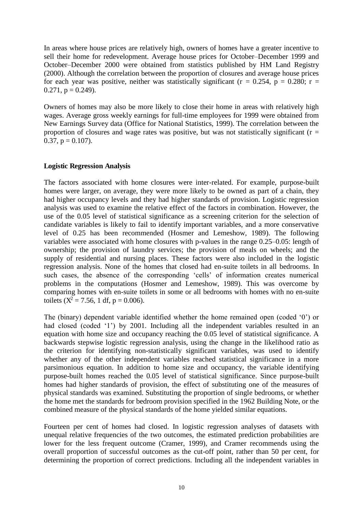In areas where house prices are relatively high, owners of homes have a greater incentive to sell their home for redevelopment. Average house prices for October–December 1999 and October–December 2000 were obtained from statistics published by HM Land Registry (2000). Although the correlation between the proportion of closures and average house prices for each year was positive, neither was statistically significant ( $r = 0.254$ ,  $p = 0.280$ ;  $r =$  $0.271$ ,  $p = 0.249$ ).

Owners of homes may also be more likely to close their home in areas with relatively high wages. Average gross weekly earnings for full-time employees for 1999 were obtained from New Earnings Survey data (Office for National Statistics, 1999). The correlation between the proportion of closures and wage rates was positive, but was not statistically significant ( $r =$ 0.37,  $p = 0.107$ ).

#### **Logistic Regression Analysis**

The factors associated with home closures were inter-related. For example, purpose-built homes were larger, on average, they were more likely to be owned as part of a chain, they had higher occupancy levels and they had higher standards of provision. Logistic regression analysis was used to examine the relative effect of the factors in combination. However, the use of the 0.05 level of statistical significance as a screening criterion for the selection of candidate variables is likely to fail to identify important variables, and a more conservative level of 0.25 has been recommended (Hosmer and Lemeshow, 1989). The following variables were associated with home closures with p-values in the range 0.25–0.05: length of ownership; the provision of laundry services; the provision of meals on wheels; and the supply of residential and nursing places. These factors were also included in the logistic regression analysis. None of the homes that closed had en-suite toilets in all bedrooms. In such cases, the absence of the corresponding 'cells' of information creates numerical problems in the computations (Hosmer and Lemeshow, 1989). This was overcome by comparing homes with en-suite toilets in some or all bedrooms with homes with no en-suite toilets ( $X^2 = 7.56$ , 1 df, p = 0.006).

The (binary) dependent variable identified whether the home remained open (coded '0') or had closed (coded '1') by 2001. Including all the independent variables resulted in an equation with home size and occupancy reaching the 0.05 level of statistical significance. A backwards stepwise logistic regression analysis, using the change in the likelihood ratio as the criterion for identifying non-statistically significant variables, was used to identify whether any of the other independent variables reached statistical significance in a more parsimonious equation. In addition to home size and occupancy, the variable identifying purpose-built homes reached the 0.05 level of statistical significance. Since purpose-built homes had higher standards of provision, the effect of substituting one of the measures of physical standards was examined. Substituting the proportion of single bedrooms, or whether the home met the standards for bedroom provision specified in the 1962 Building Note, or the combined measure of the physical standards of the home yielded similar equations.

Fourteen per cent of homes had closed. In logistic regression analyses of datasets with unequal relative frequencies of the two outcomes, the estimated prediction probabilities are lower for the less frequent outcome (Cramer, 1999), and Cramer recommends using the overall proportion of successful outcomes as the cut-off point, rather than 50 per cent, for determining the proportion of correct predictions. Including all the independent variables in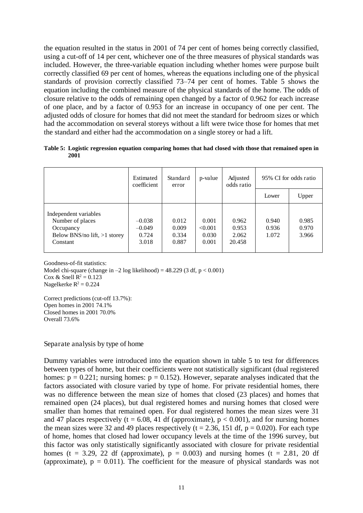the equation resulted in the status in 2001 of 74 per cent of homes being correctly classified, using a cut-off of 14 per cent, whichever one of the three measures of physical standards was included. However, the three-variable equation including whether homes were purpose built correctly classified 69 per cent of homes, whereas the equations including one of the physical standards of provision correctly classified 73–74 per cent of homes. Table 5 shows the equation including the combined measure of the physical standards of the home. The odds of closure relative to the odds of remaining open changed by a factor of 0.962 for each increase of one place, and by a factor of 0.953 for an increase in occupancy of one per cent. The adjusted odds of closure for homes that did not meet the standard for bedroom sizes or which had the accommodation on several storeys without a lift were twice those for homes that met the standard and either had the accommodation on a single storey or had a lift.

**Table 5: Logistic regression equation comparing homes that had closed with those that remained open in 2001**

|                                                                                                      | Estimated<br>coefficient               | Standard<br>error                | p-value                            | Adjusted<br>odds ratio            |                         | 95% CI for odds ratio   |
|------------------------------------------------------------------------------------------------------|----------------------------------------|----------------------------------|------------------------------------|-----------------------------------|-------------------------|-------------------------|
|                                                                                                      |                                        |                                  |                                    |                                   | Lower                   | Upper                   |
| Independent variables<br>Number of places<br>Occupancy<br>Below BNS/no lift, $>1$ storey<br>Constant | $-0.038$<br>$-0.049$<br>0.724<br>3.018 | 0.012<br>0.009<br>0.334<br>0.887 | 0.001<br>< 0.001<br>0.030<br>0.001 | 0.962<br>0.953<br>2.062<br>20.458 | 0.940<br>0.936<br>1.072 | 0.985<br>0.970<br>3.966 |

Goodness-of-fit statistics: Model chi-square (change in  $-2 \log$  likelihood) = 48.229 (3 df, p < 0.001) Cox & Snell  $R^2 = 0.123$ Nagelkerke  $R^2 = 0.224$ 

Correct predictions (cut-off 13.7%): Open homes in 2001 74.1% Closed homes in 2001 70.0% Overall 73.6%

Separate analysis by type of home

Dummy variables were introduced into the equation shown in table 5 to test for differences between types of home, but their coefficients were not statistically significant (dual registered homes:  $p = 0.221$ ; nursing homes:  $p = 0.152$ ). However, separate analyses indicated that the factors associated with closure varied by type of home. For private residential homes, there was no difference between the mean size of homes that closed (23 places) and homes that remained open (24 places), but dual registered homes and nursing homes that closed were smaller than homes that remained open. For dual registered homes the mean sizes were 31 and 47 places respectively (t = 6.08, 41 df (approximate),  $p < 0.001$ ), and for nursing homes the mean sizes were 32 and 49 places respectively ( $t = 2.36$ , 151 df,  $p = 0.020$ ). For each type of home, homes that closed had lower occupancy levels at the time of the 1996 survey, but this factor was only statistically significantly associated with closure for private residential homes (t = 3.29, 22 df (approximate),  $p = 0.003$ ) and nursing homes (t = 2.81, 20 df (approximate),  $p = 0.011$ ). The coefficient for the measure of physical standards was not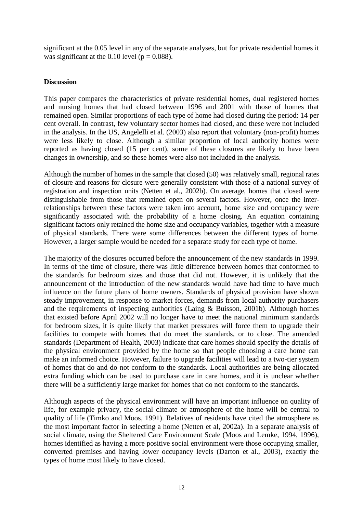significant at the 0.05 level in any of the separate analyses, but for private residential homes it was significant at the 0.10 level ( $p = 0.088$ ).

#### **Discussion**

This paper compares the characteristics of private residential homes, dual registered homes and nursing homes that had closed between 1996 and 2001 with those of homes that remained open. Similar proportions of each type of home had closed during the period: 14 per cent overall. In contrast, few voluntary sector homes had closed, and these were not included in the analysis. In the US, Angelelli et al. (2003) also report that voluntary (non-profit) homes were less likely to close. Although a similar proportion of local authority homes were reported as having closed (15 per cent), some of these closures are likely to have been changes in ownership, and so these homes were also not included in the analysis.

Although the number of homes in the sample that closed (50) was relatively small, regional rates of closure and reasons for closure were generally consistent with those of a national survey of registration and inspection units (Netten et al., 2002b). On average, homes that closed were distinguishable from those that remained open on several factors. However, once the interrelationships between these factors were taken into account, home size and occupancy were significantly associated with the probability of a home closing. An equation containing significant factors only retained the home size and occupancy variables, together with a measure of physical standards. There were some differences between the different types of home. However, a larger sample would be needed for a separate study for each type of home.

The majority of the closures occurred before the announcement of the new standards in 1999. In terms of the time of closure, there was little difference between homes that conformed to the standards for bedroom sizes and those that did not. However, it is unlikely that the announcement of the introduction of the new standards would have had time to have much influence on the future plans of home owners. Standards of physical provision have shown steady improvement, in response to market forces, demands from local authority purchasers and the requirements of inspecting authorities (Laing & Buisson, 2001b). Although homes that existed before April 2002 will no longer have to meet the national minimum standards for bedroom sizes, it is quite likely that market pressures will force them to upgrade their facilities to compete with homes that do meet the standards, or to close. The amended standards (Department of Health, 2003) indicate that care homes should specify the details of the physical environment provided by the home so that people choosing a care home can make an informed choice. However, failure to upgrade facilities will lead to a two-tier system of homes that do and do not conform to the standards. Local authorities are being allocated extra funding which can be used to purchase care in care homes, and it is unclear whether there will be a sufficiently large market for homes that do not conform to the standards.

Although aspects of the physical environment will have an important influence on quality of life, for example privacy, the social climate or atmosphere of the home will be central to quality of life (Timko and Moos, 1991). Relatives of residents have cited the atmosphere as the most important factor in selecting a home (Netten et al, 2002a). In a separate analysis of social climate, using the Sheltered Care Environment Scale (Moos and Lemke, 1994, 1996), homes identified as having a more positive social environment were those occupying smaller, converted premises and having lower occupancy levels (Darton et al., 2003), exactly the types of home most likely to have closed.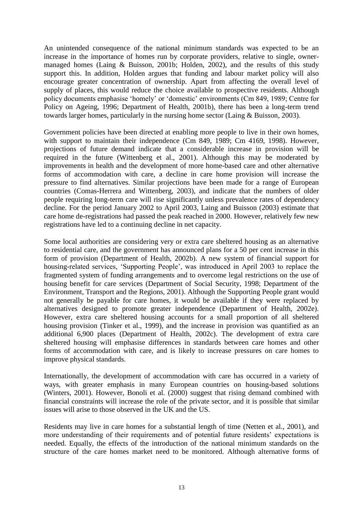An unintended consequence of the national minimum standards was expected to be an increase in the importance of homes run by corporate providers, relative to single, ownermanaged homes (Laing & Buisson, 2001b; Holden, 2002), and the results of this study support this. In addition, Holden argues that funding and labour market policy will also encourage greater concentration of ownership. Apart from affecting the overall level of supply of places, this would reduce the choice available to prospective residents. Although policy documents emphasise 'homely' or 'domestic' environments (Cm 849, 1989; Centre for Policy on Ageing, 1996; Department of Health, 2001b), there has been a long-term trend towards larger homes, particularly in the nursing home sector (Laing & Buisson, 2003).

Government policies have been directed at enabling more people to live in their own homes, with support to maintain their independence (Cm 849, 1989; Cm 4169, 1998). However, projections of future demand indicate that a considerable increase in provision will be required in the future (Wittenberg et al., 2001). Although this may be moderated by improvements in health and the development of more home-based care and other alternative forms of accommodation with care, a decline in care home provision will increase the pressure to find alternatives. Similar projections have been made for a range of European countries (Comas-Herrera and Wittenberg, 2003), and indicate that the numbers of older people requiring long-term care will rise significantly unless prevalence rates of dependency decline. For the period January 2002 to April 2003, Laing and Buisson (2003) estimate that care home de-registrations had passed the peak reached in 2000. However, relatively few new registrations have led to a continuing decline in net capacity.

Some local authorities are considering very or extra care sheltered housing as an alternative to residential care, and the government has announced plans for a 50 per cent increase in this form of provision (Department of Health, 2002b). A new system of financial support for housing-related services, 'Supporting People', was introduced in April 2003 to replace the fragmented system of funding arrangements and to overcome legal restrictions on the use of housing benefit for care services (Department of Social Security, 1998; Department of the Environment, Transport and the Regions, 2001). Although the Supporting People grant would not generally be payable for care homes, it would be available if they were replaced by alternatives designed to promote greater independence (Department of Health, 2002e). However, extra care sheltered housing accounts for a small proportion of all sheltered housing provision (Tinker et al., 1999), and the increase in provision was quantified as an additional 6,900 places (Department of Health, 2002c). The development of extra care sheltered housing will emphasise differences in standards between care homes and other forms of accommodation with care, and is likely to increase pressures on care homes to improve physical standards.

Internationally, the development of accommodation with care has occurred in a variety of ways, with greater emphasis in many European countries on housing-based solutions (Winters, 2001). However, Bonoli et al. (2000) suggest that rising demand combined with financial constraints will increase the role of the private sector, and it is possible that similar issues will arise to those observed in the UK and the US.

Residents may live in care homes for a substantial length of time (Netten et al., 2001), and more understanding of their requirements and of potential future residents' expectations is needed. Equally, the effects of the introduction of the national minimum standards on the structure of the care homes market need to be monitored. Although alternative forms of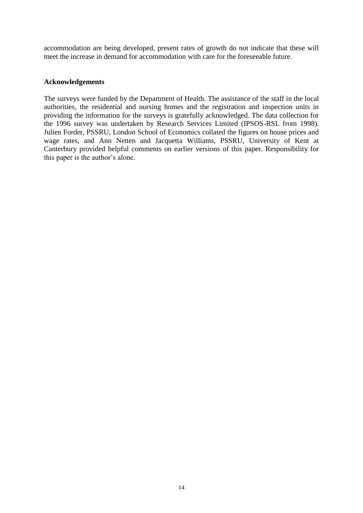accommodation are being developed, present rates of growth do not indicate that these will meet the increase in demand for accommodation with care for the foreseeable future.

#### **Acknowledgements**

The surveys were funded by the Department of Health. The assistance of the staff in the local authorities, the residential and nursing homes and the registration and inspection units in providing the information for the surveys is gratefully acknowledged. The data collection for the 1996 survey was undertaken by Research Services Limited (IPSOS-RSL from 1998). Julien Forder, PSSRU, London School of Economics collated the figures on house prices and wage rates, and Ann Netten and Jacquetta Williams, PSSRU, University of Kent at Canterbury provided helpful comments on earlier versions of this paper. Responsibility for this paper is the author's alone.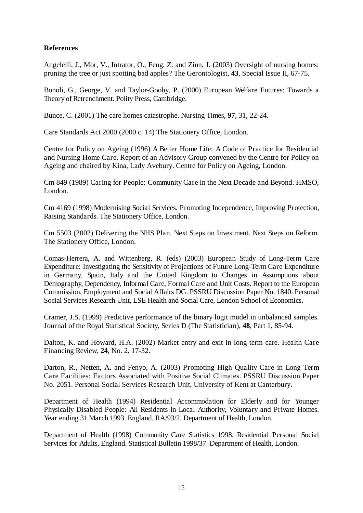#### **References**

Angelelli, J., Mor, V., Intrator, O., Feng, Z. and Zinn, J. (2003) Oversight of nursing homes: pruning the tree or just spotting bad apples? The Gerontologist, **43**, Special Issue II, 67-75.

Bonoli, G., George, V. and Taylor-Gooby, P. (2000) European Welfare Futures: Towards a Theory of Retrenchment. Polity Press, Cambridge.

Bunce, C. (2001) The care homes catastrophe. Nursing Times, **97**, 31, 22-24.

Care Standards Act 2000 (2000 c. 14) The Stationery Office, London.

Centre for Policy on Ageing (1996) A Better Home Life: A Code of Practice for Residential and Nursing Home Care. Report of an Advisory Group convened by the Centre for Policy on Ageing and chaired by Kina, Lady Avebury. Centre for Policy on Ageing, London.

Cm 849 (1989) Caring for People: Community Care in the Next Decade and Beyond. HMSO, London.

Cm 4169 (1998) Modernising Social Services. Promoting Independence, Improving Protection, Raising Standards. The Stationery Office, London.

Cm 5503 (2002) Delivering the NHS Plan. Next Steps on Investment. Next Steps on Reform. The Stationery Office, London.

Comas-Herrera, A. and Wittenberg, R. (eds) (2003) European Study of Long-Term Care Expenditure: Investigating the Sensitivity of Projections of Future Long-Term Care Expenditure in Germany, Spain, Italy and the United Kingdom to Changes in Assumptions about Demography, Dependency, Informal Care, Formal Care and Unit Costs. Report to the European Commission, Employment and Social Affairs DG. PSSRU Discussion Paper No. 1840. Personal Social Services Research Unit, LSE Health and Social Care, London School of Economics.

Cramer, J.S. (1999) Predictive performance of the binary logit model in unbalanced samples. Journal of the Royal Statistical Society, Series D (The Statistician), **48**, Part 1, 85-94.

Dalton, K. and Howard, H.A. (2002) Market entry and exit in long-term care. Health Care Financing Review, **24**, No. 2, 17-32.

Darton, R., Netten, A. and Fenyo, A. (2003) Promoting High Quality Care in Long Term Care Facilities: Factors Associated with Positive Social Climates. PSSRU Discussion Paper No. 2051. Personal Social Services Research Unit, University of Kent at Canterbury.

Department of Health (1994) Residential Accommodation for Elderly and for Younger Physically Disabled People: All Residents in Local Authority, Voluntary and Private Homes. Year ending 31 March 1993. England. RA/93/2. Department of Health, London.

Department of Health (1998) Community Care Statistics 1998. Residential Personal Social Services for Adults, England. Statistical Bulletin 1998/37. Department of Health, London.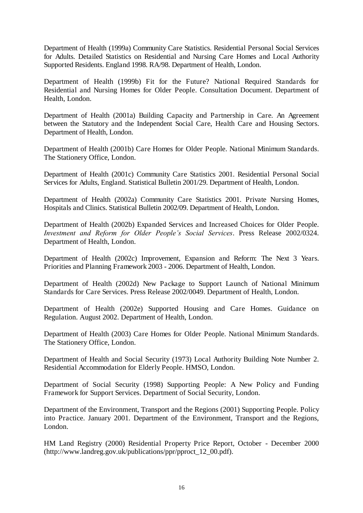Department of Health (1999a) Community Care Statistics. Residential Personal Social Services for Adults. Detailed Statistics on Residential and Nursing Care Homes and Local Authority Supported Residents. England 1998. RA/98. Department of Health, London.

Department of Health (1999b) Fit for the Future? National Required Standards for Residential and Nursing Homes for Older People. Consultation Document. Department of Health, London.

Department of Health (2001a) Building Capacity and Partnership in Care. An Agreement between the Statutory and the Independent Social Care, Health Care and Housing Sectors. Department of Health, London.

Department of Health (2001b) Care Homes for Older People. National Minimum Standards. The Stationery Office, London.

Department of Health (2001c) Community Care Statistics 2001. Residential Personal Social Services for Adults, England. Statistical Bulletin 2001/29. Department of Health, London.

Department of Health (2002a) Community Care Statistics 2001. Private Nursing Homes, Hospitals and Clinics. Statistical Bulletin 2002/09. Department of Health, London.

Department of Health (2002b) Expanded Services and Increased Choices for Older People. *Investment and Reform for Older People's Social Services*. Press Release 2002/0324. Department of Health, London.

Department of Health (2002c) Improvement, Expansion and Reform: The Next 3 Years. Priorities and Planning Framework 2003 - 2006. Department of Health, London.

Department of Health (2002d) New Package to Support Launch of National Minimum Standards for Care Services. Press Release 2002/0049. Department of Health, London.

Department of Health (2002e) Supported Housing and Care Homes. Guidance on Regulation. August 2002. Department of Health, London.

Department of Health (2003) Care Homes for Older People. National Minimum Standards. The Stationery Office, London.

Department of Health and Social Security (1973) Local Authority Building Note Number 2. Residential Accommodation for Elderly People. HMSO, London.

Department of Social Security (1998) Supporting People: A New Policy and Funding Framework for Support Services. Department of Social Security, London.

Department of the Environment, Transport and the Regions (2001) Supporting People. Policy into Practice. January 2001. Department of the Environment, Transport and the Regions, London.

HM Land Registry (2000) Residential Property Price Report, October - December 2000 (http://www.landreg.gov.uk/publications/ppr/pproct\_12\_00.pdf).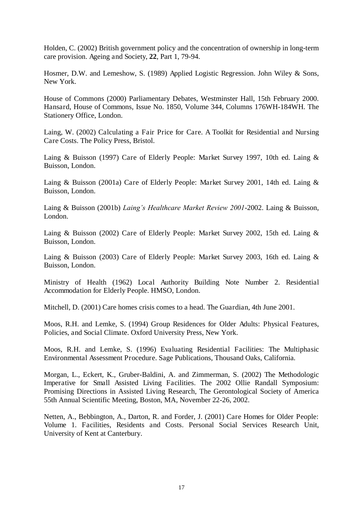Holden, C. (2002) British government policy and the concentration of ownership in long-term care provision. Ageing and Society, **22**, Part 1, 79-94.

Hosmer, D.W. and Lemeshow, S. (1989) Applied Logistic Regression. John Wiley & Sons, New York.

House of Commons (2000) Parliamentary Debates, Westminster Hall, 15th February 2000. Hansard, House of Commons, Issue No. 1850, Volume 344, Columns 176WH-184WH. The Stationery Office, London.

Laing, W. (2002) Calculating a Fair Price for Care. A Toolkit for Residential and Nursing Care Costs. The Policy Press, Bristol.

Laing & Buisson (1997) Care of Elderly People: Market Survey 1997, 10th ed. Laing & Buisson, London.

Laing & Buisson (2001a) Care of Elderly People: Market Survey 2001, 14th ed. Laing & Buisson, London.

Laing & Buisson (2001b) *Laing's Healthcare Market Review 2001*-2002. Laing & Buisson, London.

Laing & Buisson (2002) Care of Elderly People: Market Survey 2002, 15th ed. Laing & Buisson, London.

Laing & Buisson (2003) Care of Elderly People: Market Survey 2003, 16th ed. Laing & Buisson, London.

Ministry of Health (1962) Local Authority Building Note Number 2. Residential Accommodation for Elderly People. HMSO, London.

Mitchell, D. (2001) Care homes crisis comes to a head. The Guardian, 4th June 2001.

Moos, R.H. and Lemke, S. (1994) Group Residences for Older Adults: Physical Features, Policies, and Social Climate. Oxford University Press, New York.

Moos, R.H. and Lemke, S. (1996) Evaluating Residential Facilities: The Multiphasic Environmental Assessment Procedure. Sage Publications, Thousand Oaks, California.

Morgan, L., Eckert, K., Gruber-Baldini, A. and Zimmerman, S. (2002) The Methodologic Imperative for Small Assisted Living Facilities. The 2002 Ollie Randall Symposium: Promising Directions in Assisted Living Research, The Gerontological Society of America 55th Annual Scientific Meeting, Boston, MA, November 22-26, 2002.

Netten, A., Bebbington, A., Darton, R. and Forder, J. (2001) Care Homes for Older People: Volume 1. Facilities, Residents and Costs. Personal Social Services Research Unit, University of Kent at Canterbury.